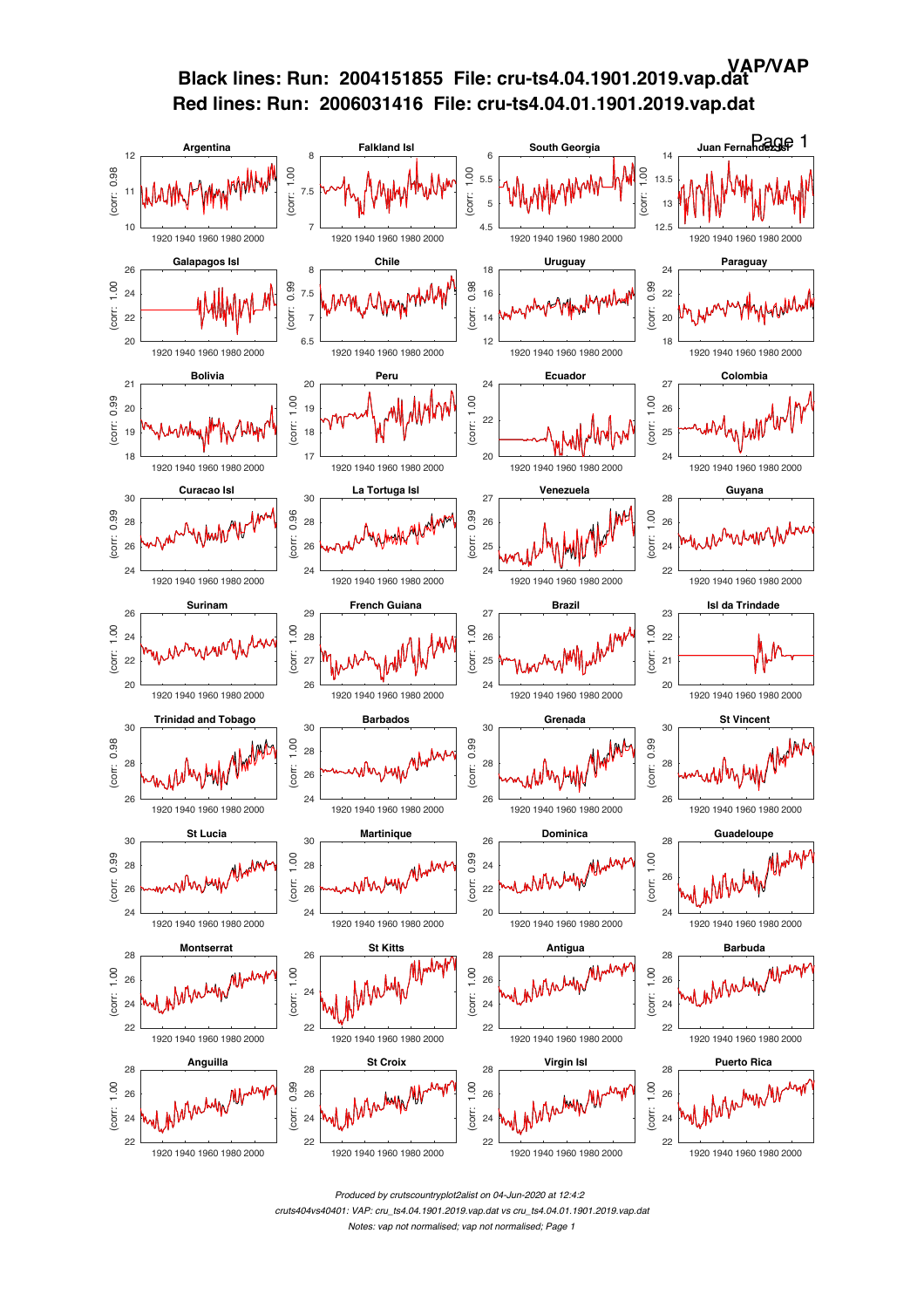

*Produced by crutscountryplot2alist on 04-Jun-2020 at 12:4:2*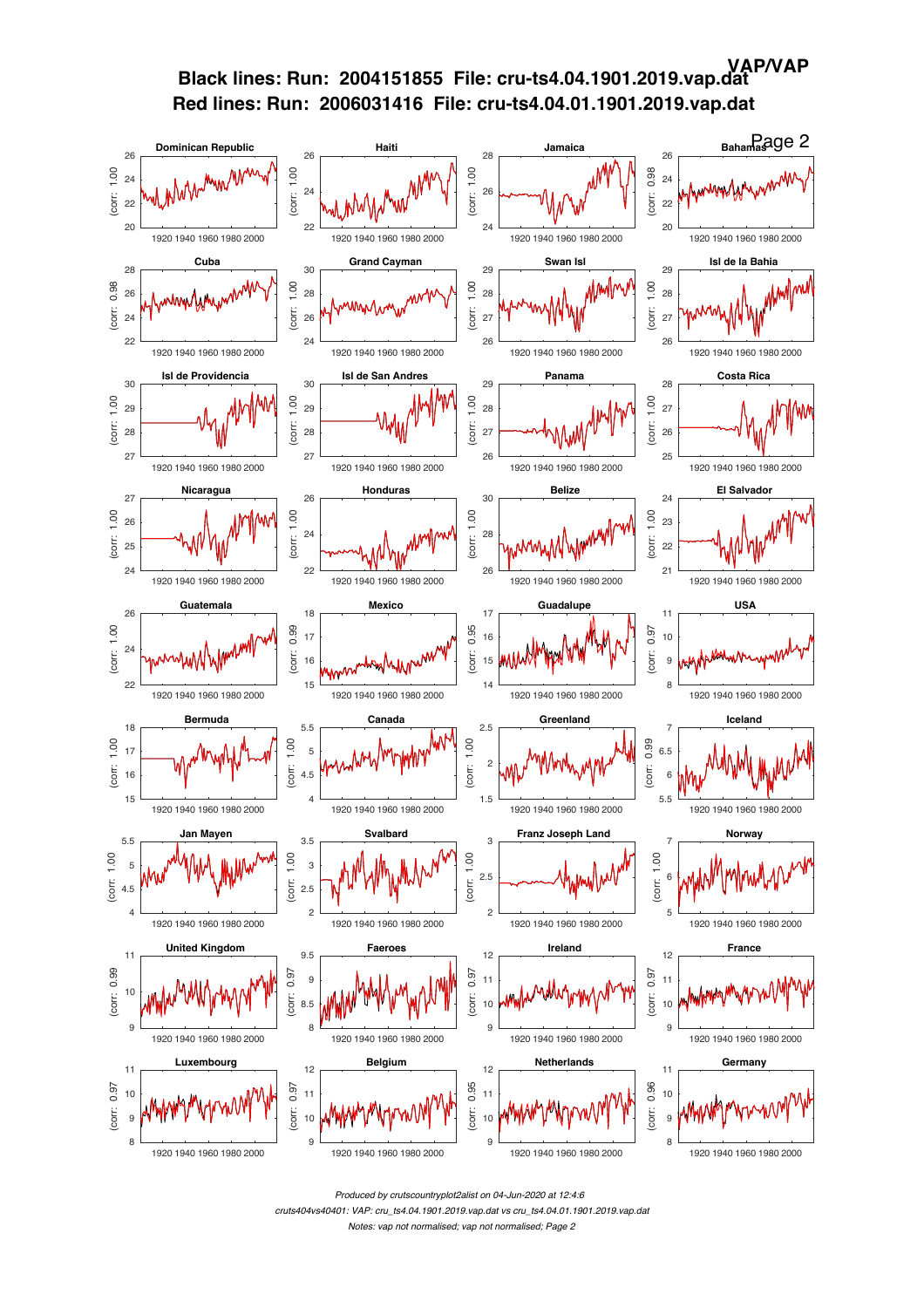

*Produced by crutscountryplot2alist on 04-Jun-2020 at 12:4:6*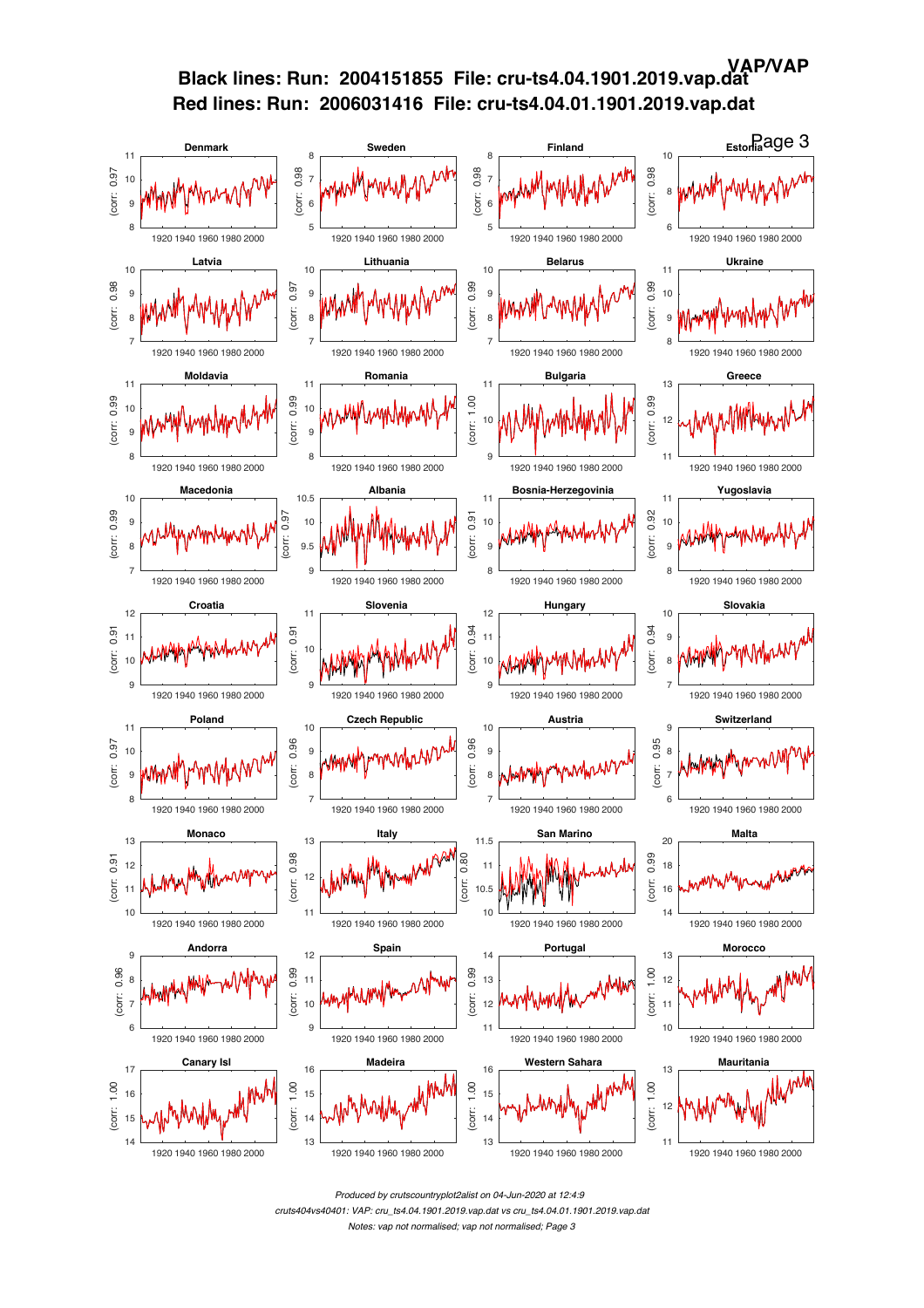

*Produced by crutscountryplot2alist on 04-Jun-2020 at 12:4:9 cruts404vs40401: VAP: cru\_ts4.04.1901.2019.vap.dat vs cru\_ts4.04.01.1901.2019.vap.dat Notes: vap not normalised; vap not normalised; Page 3*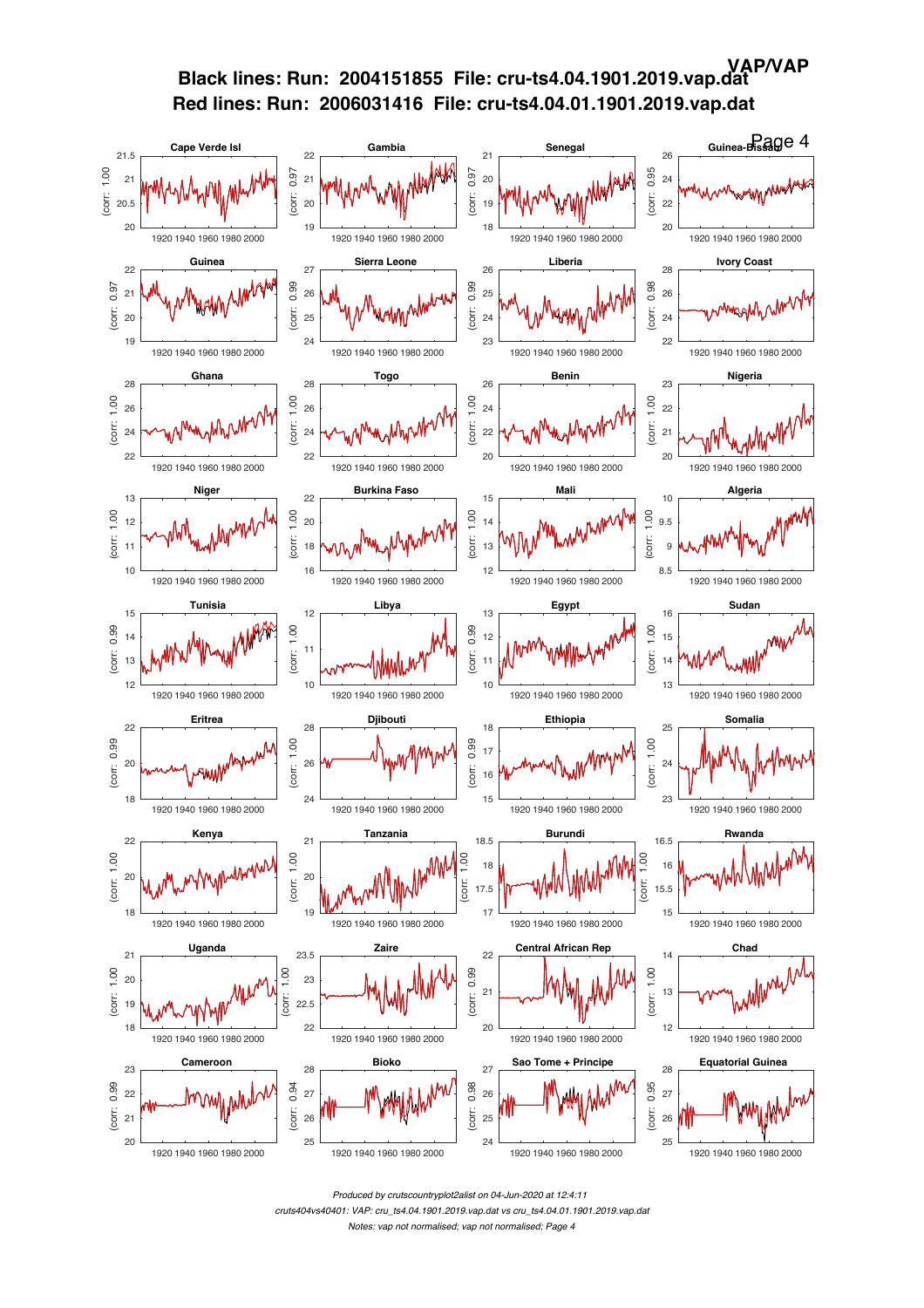

*Produced by crutscountryplot2alist on 04-Jun-2020 at 12:4:11 cruts404vs40401: VAP: cru\_ts4.04.1901.2019.vap.dat vs cru\_ts4.04.01.1901.2019.vap.dat*

*Notes: vap not normalised; vap not normalised; Page 4*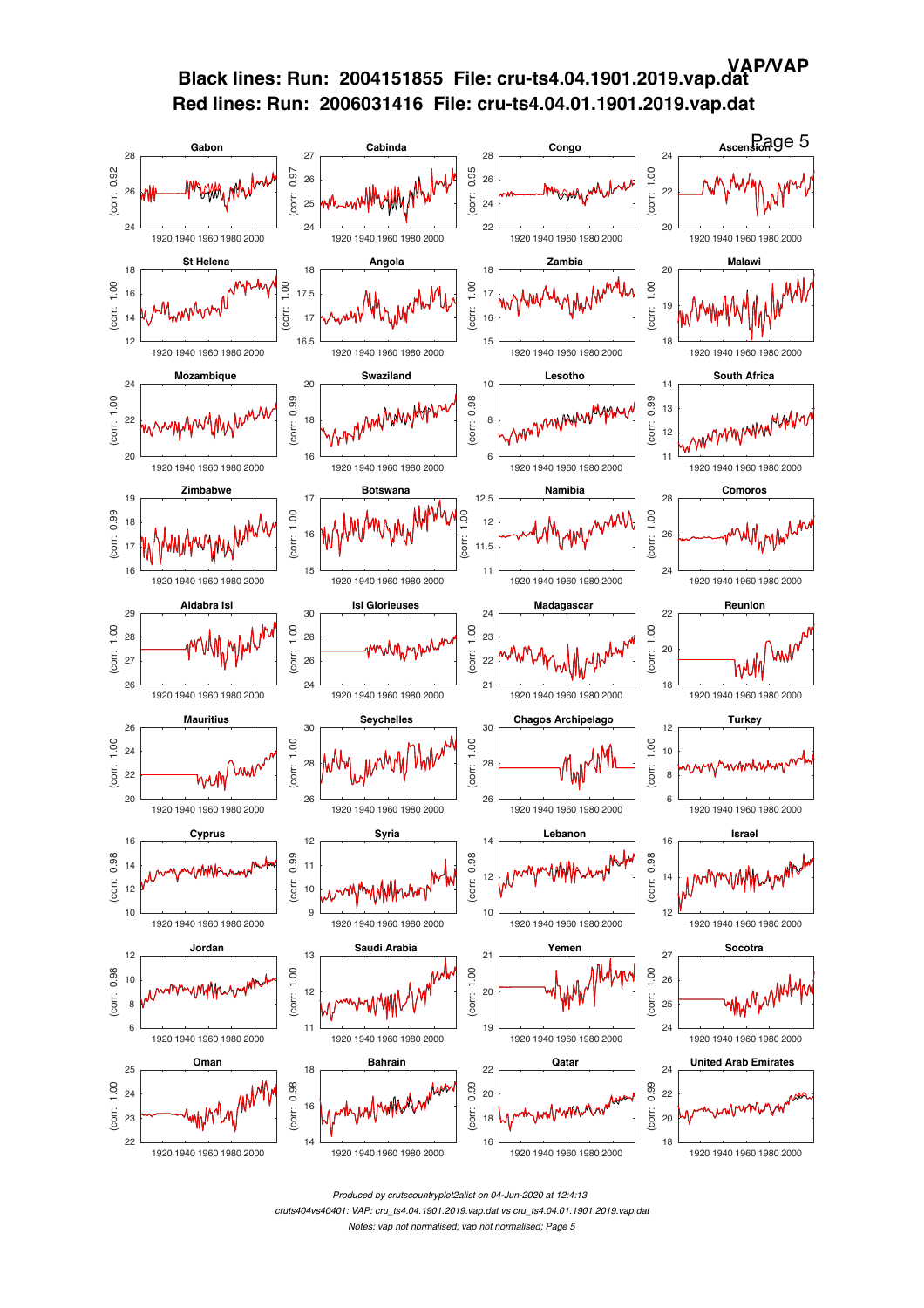## **VAP/VAP**

# **Black lines: Run: 2004151855 File: cru-ts4.04.1901.2019.vap.dat Red lines: Run: 2006031416 File: cru-ts4.04.01.1901.2019.vap.dat**



*Produced by crutscountryplot2alist on 04-Jun-2020 at 12:4:13*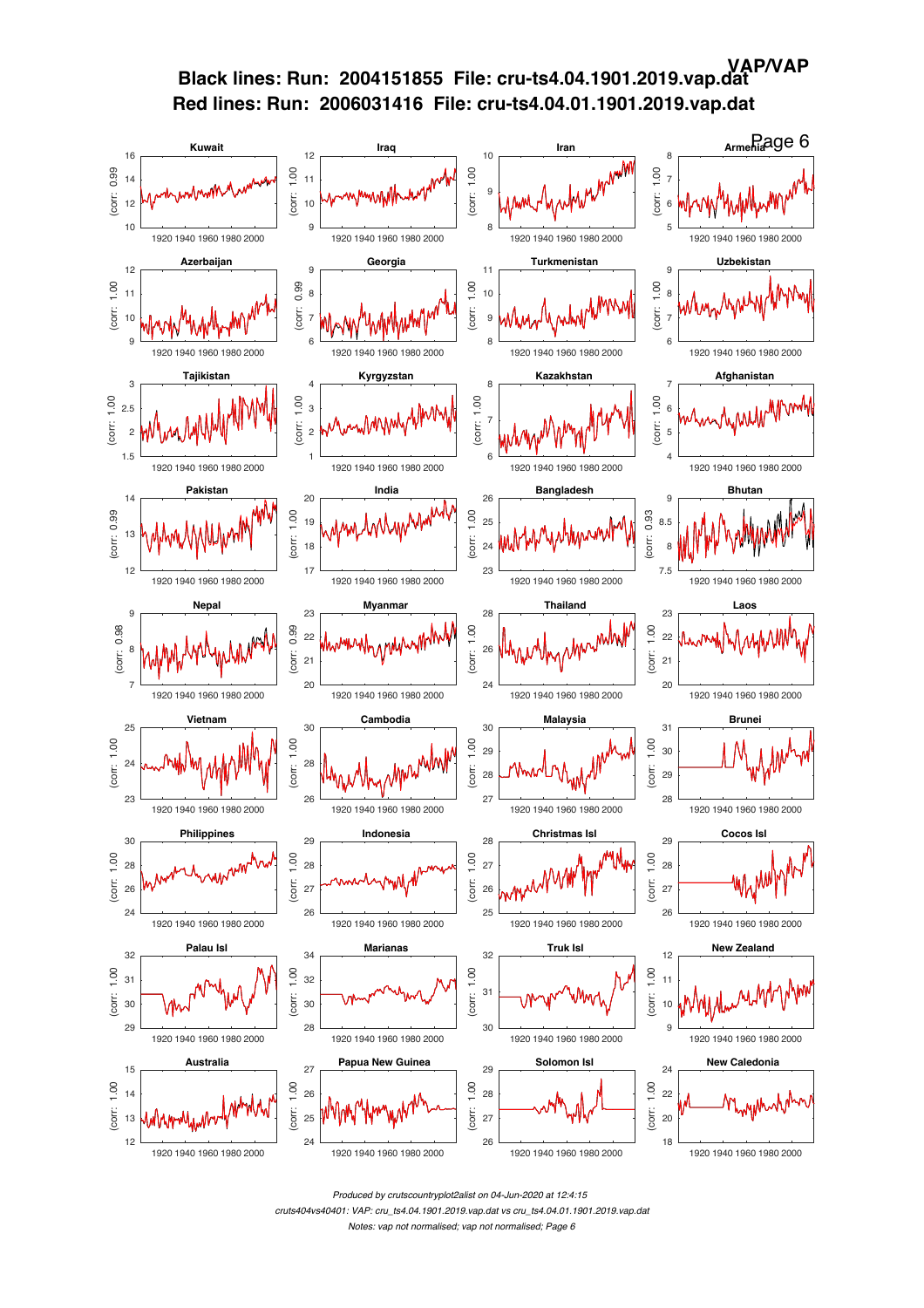

*Produced by crutscountryplot2alist on 04-Jun-2020 at 12:4:15*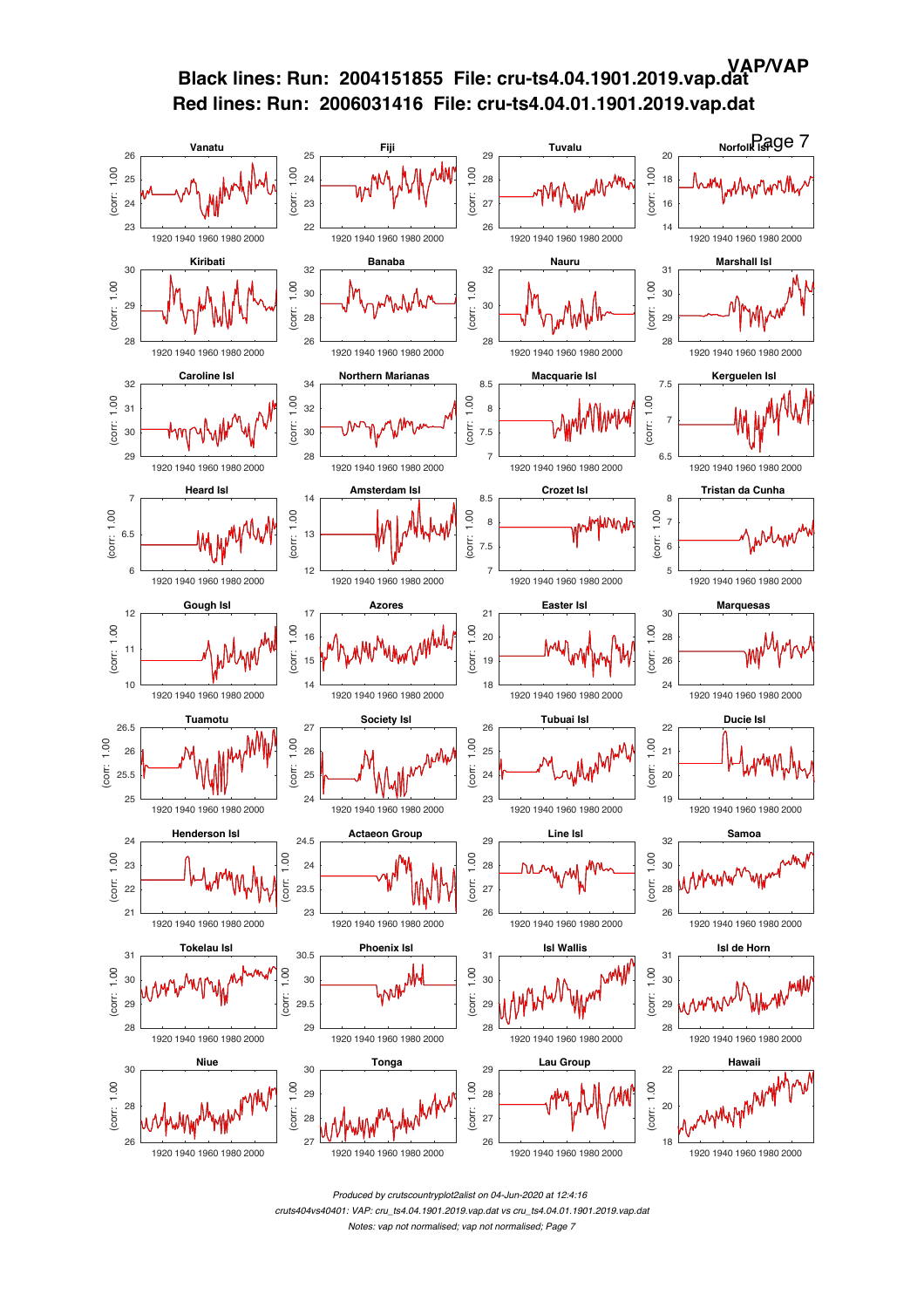

*Produced by crutscountryplot2alist on 04-Jun-2020 at 12:4:16 cruts404vs40401: VAP: cru\_ts4.04.1901.2019.vap.dat vs cru\_ts4.04.01.1901.2019.vap.dat Notes: vap not normalised; vap not normalised; Page 7*